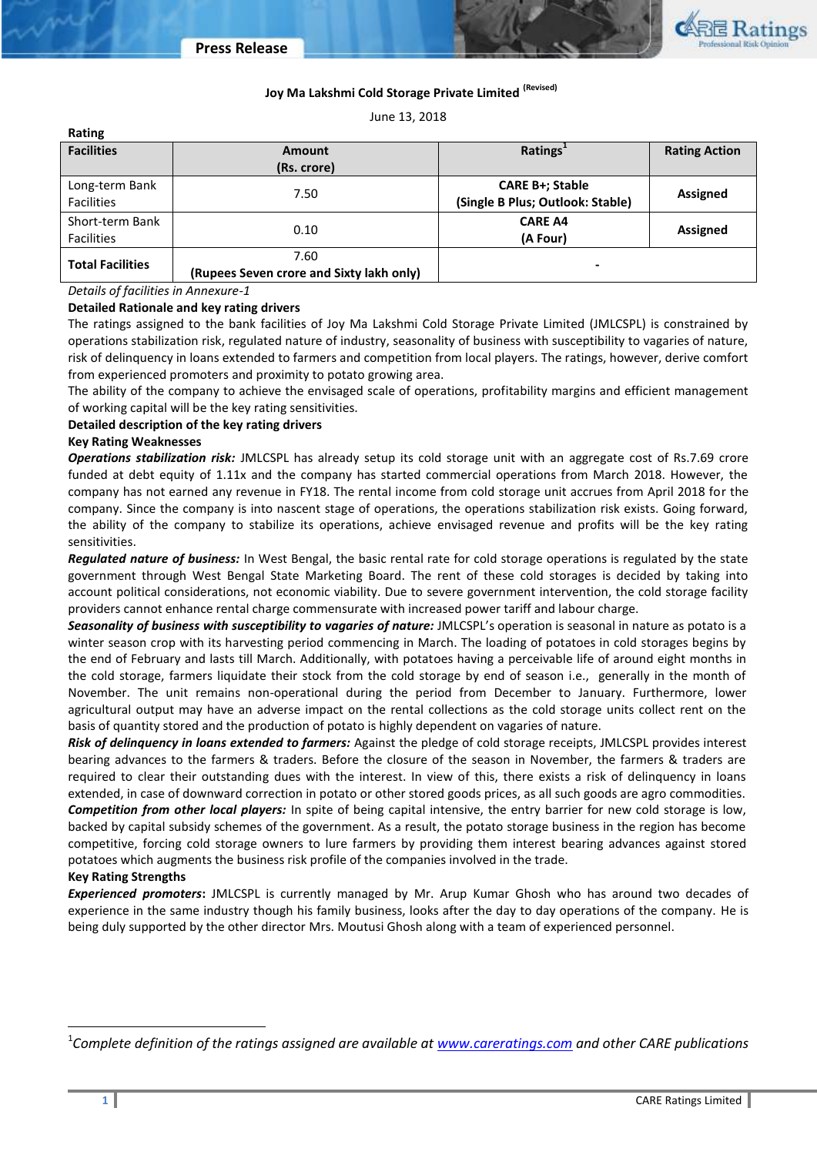

# **Joy Ma Lakshmi Cold Storage Private Limited (Revised)**

June 13, 2018

| Rating                  |                                          |                                  |                      |  |
|-------------------------|------------------------------------------|----------------------------------|----------------------|--|
| <b>Facilities</b>       | <b>Amount</b>                            | Ratings                          | <b>Rating Action</b> |  |
|                         | (Rs. crore)                              |                                  |                      |  |
| Long-term Bank          |                                          | <b>CARE B+; Stable</b>           | <b>Assigned</b>      |  |
| <b>Facilities</b>       | 7.50                                     | (Single B Plus; Outlook: Stable) |                      |  |
| Short-term Bank         | 0.10                                     | <b>CARE A4</b>                   | <b>Assigned</b>      |  |
| <b>Facilities</b>       |                                          | (A Four)                         |                      |  |
| <b>Total Facilities</b> | 7.60                                     |                                  |                      |  |
|                         | (Rupees Seven crore and Sixty lakh only) | -                                |                      |  |

*Details of facilities in Annexure-1*

## **Detailed Rationale and key rating drivers**

The ratings assigned to the bank facilities of Joy Ma Lakshmi Cold Storage Private Limited (JMLCSPL) is constrained by operations stabilization risk, regulated nature of industry, seasonality of business with susceptibility to vagaries of nature, risk of delinquency in loans extended to farmers and competition from local players. The ratings, however, derive comfort from experienced promoters and proximity to potato growing area.

The ability of the company to achieve the envisaged scale of operations, profitability margins and efficient management of working capital will be the key rating sensitivities.

## **Detailed description of the key rating drivers**

## **Key Rating Weaknesses**

*Operations stabilization risk:* JMLCSPL has already setup its cold storage unit with an aggregate cost of Rs.7.69 crore funded at debt equity of 1.11x and the company has started commercial operations from March 2018. However, the company has not earned any revenue in FY18. The rental income from cold storage unit accrues from April 2018 for the company. Since the company is into nascent stage of operations, the operations stabilization risk exists. Going forward, the ability of the company to stabilize its operations, achieve envisaged revenue and profits will be the key rating sensitivities.

*Regulated nature of business:* In West Bengal, the basic rental rate for cold storage operations is regulated by the state government through West Bengal State Marketing Board. The rent of these cold storages is decided by taking into account political considerations, not economic viability. Due to severe government intervention, the cold storage facility providers cannot enhance rental charge commensurate with increased power tariff and labour charge.

*Seasonality of business with susceptibility to vagaries of nature:* JMLCSPL's operation is seasonal in nature as potato is a winter season crop with its harvesting period commencing in March. The loading of potatoes in cold storages begins by the end of February and lasts till March. Additionally, with potatoes having a perceivable life of around eight months in the cold storage, farmers liquidate their stock from the cold storage by end of season i.e., generally in the month of November. The unit remains non-operational during the period from December to January. Furthermore, lower agricultural output may have an adverse impact on the rental collections as the cold storage units collect rent on the basis of quantity stored and the production of potato is highly dependent on vagaries of nature.

*Risk of delinquency in loans extended to farmers:* Against the pledge of cold storage receipts, JMLCSPL provides interest bearing advances to the farmers & traders. Before the closure of the season in November, the farmers & traders are required to clear their outstanding dues with the interest. In view of this, there exists a risk of delinquency in loans extended, in case of downward correction in potato or other stored goods prices, as all such goods are agro commodities. *Competition from other local players:* In spite of being capital intensive, the entry barrier for new cold storage is low, backed by capital subsidy schemes of the government. As a result, the potato storage business in the region has become competitive, forcing cold storage owners to lure farmers by providing them interest bearing advances against stored potatoes which augments the business risk profile of the companies involved in the trade.

## **Key Rating Strengths**

*Experienced promoters***:** JMLCSPL is currently managed by Mr. Arup Kumar Ghosh who has around two decades of experience in the same industry though his family business, looks after the day to day operations of the company. He is being duly supported by the other director Mrs. Moutusi Ghosh along with a team of experienced personnel.

l

<sup>1</sup> *Complete definition of the ratings assigned are available a[t www.careratings.com](http://www.careratings.com/) and other CARE publications*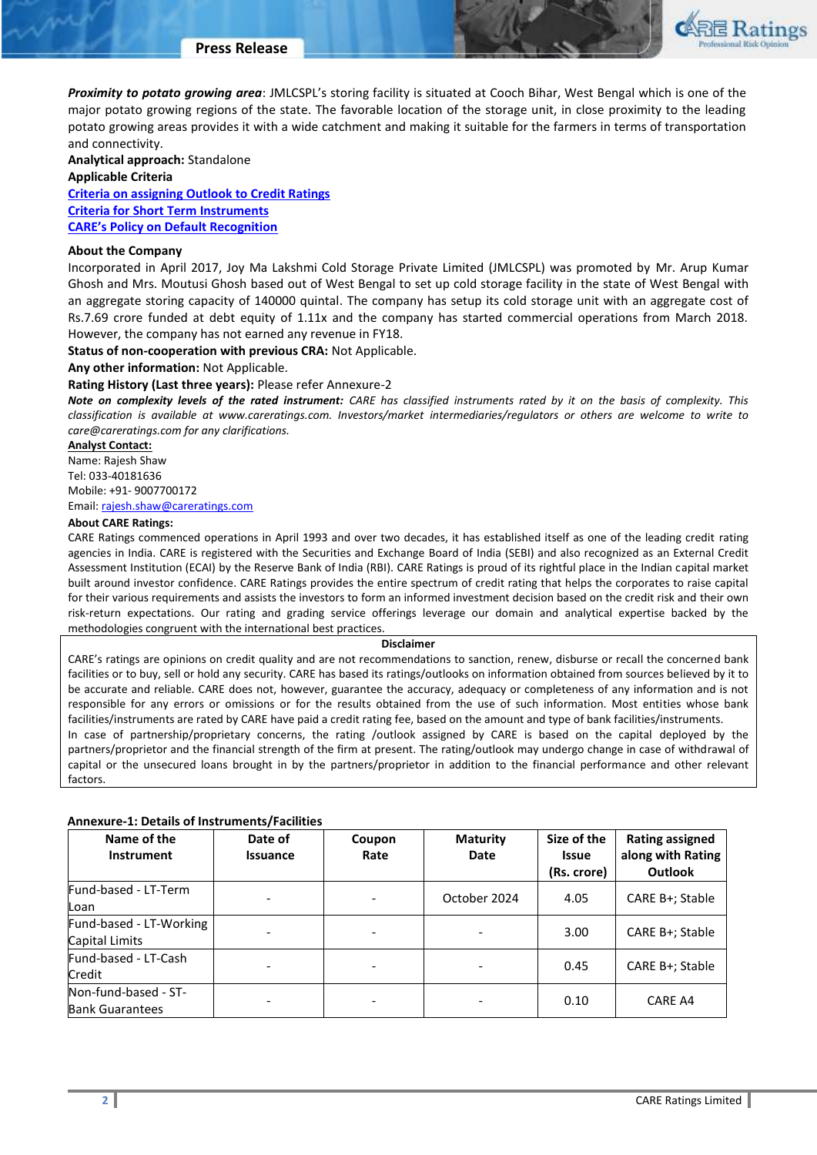

*Proximity to potato growing area*: JMLCSPL's storing facility is situated at Cooch Bihar, West Bengal which is one of the major potato growing regions of the state. The favorable location of the storage unit, in close proximity to the leading potato growing areas provides it with a wide catchment and making it suitable for the farmers in terms of transportation and connectivity.

**Analytical approach:** Standalone

### **Applicable Criteria**

**[Criteria on assigning Outlook to Credit Ratings](http://www.careratings.com/upload/NewsFiles/GetRated/Outlook%20Criteria.pdf) Criteria for [Short](mailto:http://www.careratings.com/upload/NewsFiles/GetRated/Short%20Term%20Instruments.pdf) [Term](mailto:http://www.careratings.com/upload/NewsFiles/GetRated/Short%20Term%20Instruments.pdf) [Instruments](mailto:http://www.careratings.com/upload/NewsFiles/GetRated/Short%20Term%20Instruments.pdf) [CARE's Policy on Default Recognition](http://www.careratings.com/pdf/resources/CAREPolicyonDefaultRecognition.pdf)**

## **About the Company**

Incorporated in April 2017, Joy Ma Lakshmi Cold Storage Private Limited (JMLCSPL) was promoted by Mr. Arup Kumar Ghosh and Mrs. Moutusi Ghosh based out of West Bengal to set up cold storage facility in the state of West Bengal with an aggregate storing capacity of 140000 quintal. The company has setup its cold storage unit with an aggregate cost of Rs.7.69 crore funded at debt equity of 1.11x and the company has started commercial operations from March 2018. However, the company has not earned any revenue in FY18.

**Status of non-cooperation with previous CRA:** Not Applicable.

**Any other information:** Not Applicable.

## **Rating History (Last three years):** Please refer Annexure-2

*Note on complexity levels of the rated instrument: CARE has classified instruments rated by it on the basis of complexity. This classification is available at www.careratings.com. Investors/market intermediaries/regulators or others are welcome to write to care@careratings.com for any clarifications.*

**Analyst Contact:**

Name: Rajesh Shaw Tel: 033-40181636 Mobile: +91- 9007700172

Email: [rajesh.shaw@careratings.com](mailto:rajesh.shaw@careratings.com)

# **About CARE Ratings:**

CARE Ratings commenced operations in April 1993 and over two decades, it has established itself as one of the leading credit rating agencies in India. CARE is registered with the Securities and Exchange Board of India (SEBI) and also recognized as an External Credit Assessment Institution (ECAI) by the Reserve Bank of India (RBI). CARE Ratings is proud of its rightful place in the Indian capital market built around investor confidence. CARE Ratings provides the entire spectrum of credit rating that helps the corporates to raise capital for their various requirements and assists the investors to form an informed investment decision based on the credit risk and their own risk-return expectations. Our rating and grading service offerings leverage our domain and analytical expertise backed by the methodologies congruent with the international best practices.

#### **Disclaimer**

CARE's ratings are opinions on credit quality and are not recommendations to sanction, renew, disburse or recall the concerned bank facilities or to buy, sell or hold any security. CARE has based its ratings/outlooks on information obtained from sources believed by it to be accurate and reliable. CARE does not, however, guarantee the accuracy, adequacy or completeness of any information and is not responsible for any errors or omissions or for the results obtained from the use of such information. Most entities whose bank facilities/instruments are rated by CARE have paid a credit rating fee, based on the amount and type of bank facilities/instruments.

In case of partnership/proprietary concerns, the rating /outlook assigned by CARE is based on the capital deployed by the partners/proprietor and the financial strength of the firm at present. The rating/outlook may undergo change in case of withdrawal of capital or the unsecured loans brought in by the partners/proprietor in addition to the financial performance and other relevant factors.

## **Annexure-1: Details of Instruments/Facilities**

| Name of the<br><b>Instrument</b>               | Date of<br><b>Issuance</b> | Coupon<br>Rate | <b>Maturity</b><br>Date | Size of the<br><b>Issue</b><br>(Rs. crore) | <b>Rating assigned</b><br>along with Rating<br><b>Outlook</b> |
|------------------------------------------------|----------------------------|----------------|-------------------------|--------------------------------------------|---------------------------------------------------------------|
| Fund-based - LT-Term<br>Loan                   |                            |                | October 2024            | 4.05                                       | CARE B+; Stable                                               |
| Fund-based - LT-Working<br>Capital Limits      |                            |                |                         | 3.00                                       | CARE B+; Stable                                               |
| Fund-based - LT-Cash<br>Credit                 |                            |                |                         | 0.45                                       | CARE B+; Stable                                               |
| Non-fund-based - ST-<br><b>Bank Guarantees</b> |                            |                |                         | 0.10                                       | CARE A4                                                       |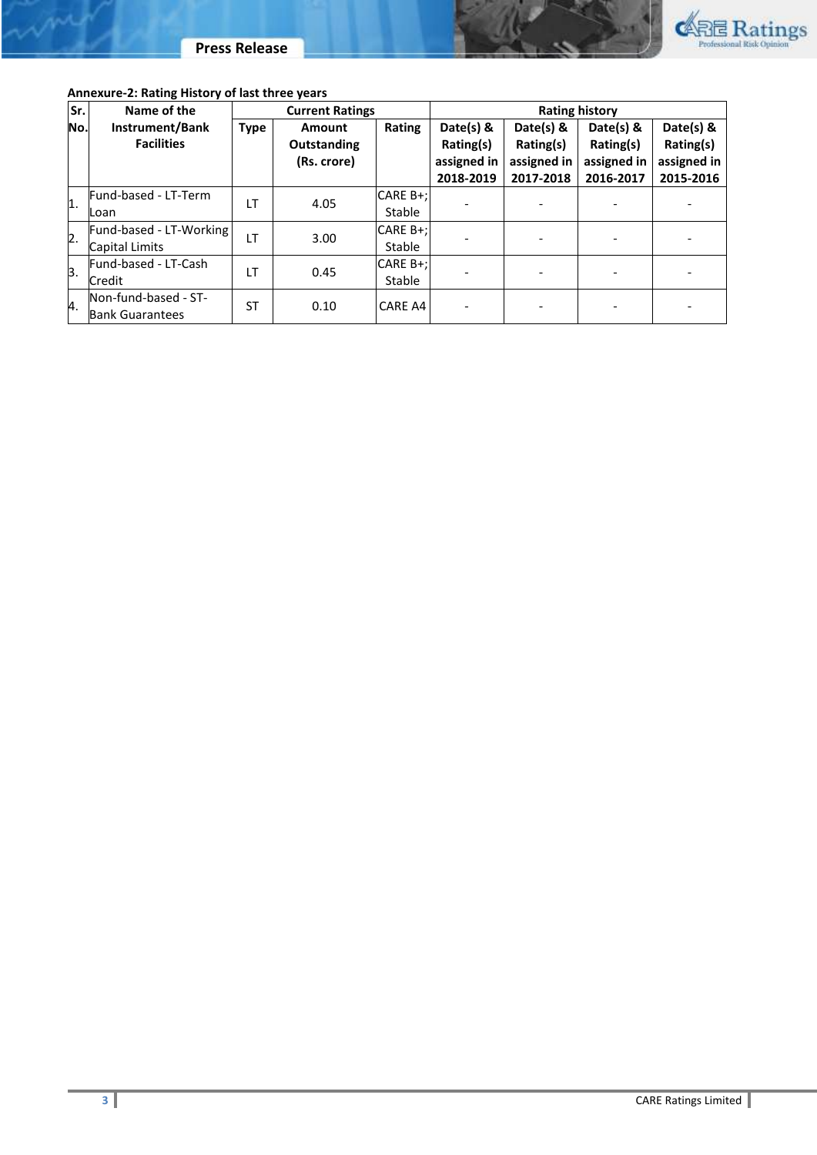

|  |  |  |  | Annexure-2: Rating History of last three years |
|--|--|--|--|------------------------------------------------|
|--|--|--|--|------------------------------------------------|

way

| Sr.              | Name of the             | <b>Current Ratings</b> |                    | <b>Rating history</b> |             |             |             |             |  |
|------------------|-------------------------|------------------------|--------------------|-----------------------|-------------|-------------|-------------|-------------|--|
| No.              | Instrument/Bank         | <b>Type</b>            | Amount             | Rating                | Date(s) &   | Date(s) &   | Date(s) $8$ | Date(s) $8$ |  |
|                  | <b>Facilities</b>       |                        | <b>Outstanding</b> |                       | Rating(s)   | Rating(s)   | Rating(s)   | Rating(s)   |  |
|                  |                         |                        | (Rs. crore)        |                       | assigned in | assigned in | assigned in | assigned in |  |
|                  |                         |                        |                    |                       | 2018-2019   | 2017-2018   | 2016-2017   | 2015-2016   |  |
| $\overline{1}$ . | Fund-based - LT-Term    | LT                     | 4.05               | CARE B+;              |             |             |             |             |  |
|                  | Loan                    |                        |                    | Stable                |             |             |             |             |  |
| $\overline{2}$ . | Fund-based - LT-Working | LT                     | 3.00               | CARE B+;              |             |             |             |             |  |
|                  | Capital Limits          |                        |                    | Stable                |             |             |             |             |  |
| 3.               | Fund-based - LT-Cash    | LT                     | 0.45               | CARE B+;              |             |             |             |             |  |
|                  | <b>Credit</b>           |                        |                    | Stable                |             |             |             |             |  |
| 4.               | Non-fund-based - ST-    | ST                     |                    | 0.10                  | CARE A4     |             |             |             |  |
|                  | <b>Bank Guarantees</b>  |                        |                    |                       |             |             |             |             |  |